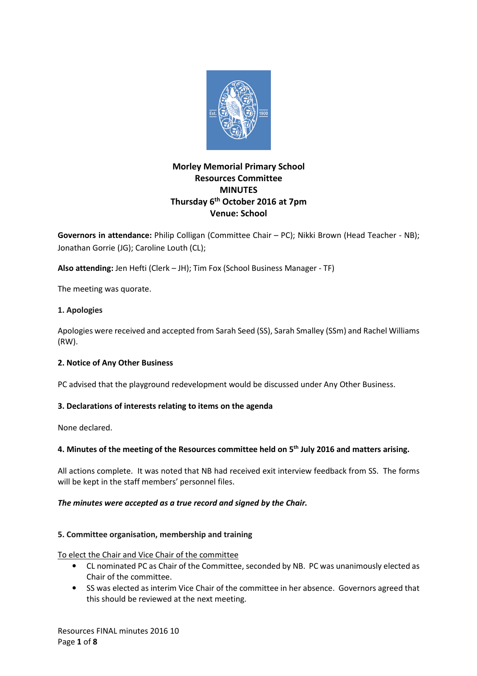

# **Morley Memorial Primary School Resources Committee MINUTES Thursday 6th October 2016 at 7pm Venue: School**

**Governors in attendance:** Philip Colligan (Committee Chair – PC); Nikki Brown (Head Teacher - NB); Jonathan Gorrie (JG); Caroline Louth (CL);

**Also attending:** Jen Hefti (Clerk – JH); Tim Fox (School Business Manager - TF)

The meeting was quorate.

# **1. Apologies**

Apologies were received and accepted from Sarah Seed (SS), Sarah Smalley (SSm) and Rachel Williams (RW).

# **2. Notice of Any Other Business**

PC advised that the playground redevelopment would be discussed under Any Other Business.

# **3. Declarations of interests relating to items on the agenda**

None declared.

# **4. Minutes of the meeting of the Resources committee held on 5th July 2016 and matters arising.**

All actions complete. It was noted that NB had received exit interview feedback from SS. The forms will be kept in the staff members' personnel files.

# *The minutes were accepted as a true record and signed by the Chair.*

## **5. Committee organisation, membership and training**

To elect the Chair and Vice Chair of the committee

- CL nominated PC as Chair of the Committee, seconded by NB. PC was unanimously elected as Chair of the committee.
- SS was elected as interim Vice Chair of the committee in her absence. Governors agreed that this should be reviewed at the next meeting.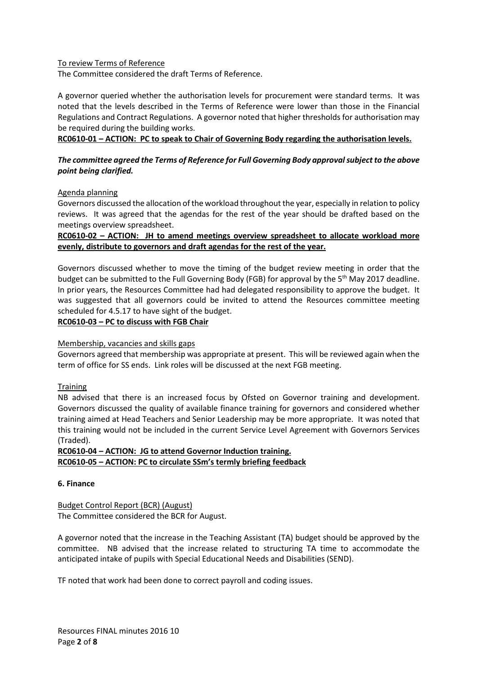## To review Terms of Reference

The Committee considered the draft Terms of Reference.

A governor queried whether the authorisation levels for procurement were standard terms. It was noted that the levels described in the Terms of Reference were lower than those in the Financial Regulations and Contract Regulations. A governor noted that higher thresholds for authorisation may be required during the building works.

**RC0610-01 – ACTION: PC to speak to Chair of Governing Body regarding the authorisation levels.** 

# *The committee agreed the Terms of Reference for Full Governing Body approval subject to the above point being clarified.*

## Agenda planning

Governors discussed the allocation of the workload throughout the year, especially in relation to policy reviews. It was agreed that the agendas for the rest of the year should be drafted based on the meetings overview spreadsheet.

# **RC0610-02 – ACTION: JH to amend meetings overview spreadsheet to allocate workload more evenly, distribute to governors and draft agendas for the rest of the year.**

Governors discussed whether to move the timing of the budget review meeting in order that the budget can be submitted to the Full Governing Body (FGB) for approval by the 5<sup>th</sup> May 2017 deadline. In prior years, the Resources Committee had had delegated responsibility to approve the budget. It was suggested that all governors could be invited to attend the Resources committee meeting scheduled for 4.5.17 to have sight of the budget.

**RC0610-03 – PC to discuss with FGB Chair** 

## Membership, vacancies and skills gaps

Governors agreed that membership was appropriate at present. This will be reviewed again when the term of office for SS ends. Link roles will be discussed at the next FGB meeting.

## **Training**

NB advised that there is an increased focus by Ofsted on Governor training and development. Governors discussed the quality of available finance training for governors and considered whether training aimed at Head Teachers and Senior Leadership may be more appropriate. It was noted that this training would not be included in the current Service Level Agreement with Governors Services (Traded).

**RC0610-04 – ACTION: JG to attend Governor Induction training. RC0610-05 – ACTION: PC to circulate SSm's termly briefing feedback** 

## **6. Finance**

Budget Control Report (BCR) (August) The Committee considered the BCR for August.

A governor noted that the increase in the Teaching Assistant (TA) budget should be approved by the committee. NB advised that the increase related to structuring TA time to accommodate the anticipated intake of pupils with Special Educational Needs and Disabilities (SEND).

TF noted that work had been done to correct payroll and coding issues.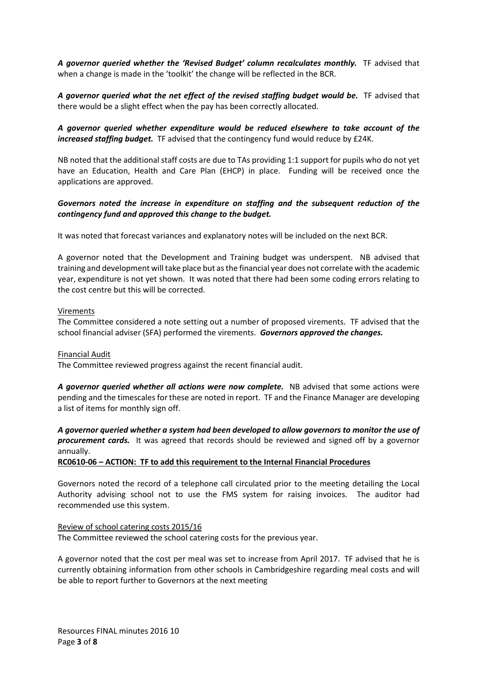A governor queried whether the 'Revised Budget' column recalculates monthly. TF advised that when a change is made in the 'toolkit' the change will be reflected in the BCR.

A governor queried what the net effect of the revised staffing budget would be. TF advised that there would be a slight effect when the pay has been correctly allocated.

# *A governor queried whether expenditure would be reduced elsewhere to take account of the increased staffing budget.* TF advised that the contingency fund would reduce by £24K.

NB noted that the additional staff costs are due to TAs providing 1:1 support for pupils who do not yet have an Education, Health and Care Plan (EHCP) in place. Funding will be received once the applications are approved.

## *Governors noted the increase in expenditure on staffing and the subsequent reduction of the contingency fund and approved this change to the budget.*

It was noted that forecast variances and explanatory notes will be included on the next BCR.

A governor noted that the Development and Training budget was underspent. NB advised that training and development will take place but as the financial year does not correlate with the academic year, expenditure is not yet shown. It was noted that there had been some coding errors relating to the cost centre but this will be corrected.

#### Virements

The Committee considered a note setting out a number of proposed virements. TF advised that the school financial adviser (SFA) performed the virements. *Governors approved the changes.* 

#### Financial Audit

The Committee reviewed progress against the recent financial audit.

A governor queried whether all actions were now complete. NB advised that some actions were pending and the timescales for these are noted in report. TF and the Finance Manager are developing a list of items for monthly sign off.

*A governor queried whether a system had been developed to allow governors to monitor the use of procurement cards.* It was agreed that records should be reviewed and signed off by a governor annually.

## **RC0610-06 – ACTION: TF to add this requirement to the Internal Financial Procedures**

Governors noted the record of a telephone call circulated prior to the meeting detailing the Local Authority advising school not to use the FMS system for raising invoices. The auditor had recommended use this system.

# Review of school catering costs 2015/16

The Committee reviewed the school catering costs for the previous year.

A governor noted that the cost per meal was set to increase from April 2017. TF advised that he is currently obtaining information from other schools in Cambridgeshire regarding meal costs and will be able to report further to Governors at the next meeting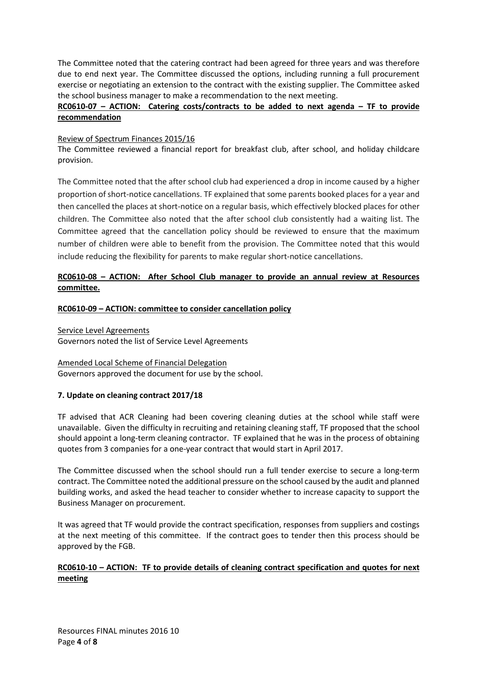The Committee noted that the catering contract had been agreed for three years and was therefore due to end next year. The Committee discussed the options, including running a full procurement exercise or negotiating an extension to the contract with the existing supplier. The Committee asked the school business manager to make a recommendation to the next meeting.

# **RC0610-07 – ACTION: Catering costs/contracts to be added to next agenda – TF to provide recommendation**

## Review of Spectrum Finances 2015/16

The Committee reviewed a financial report for breakfast club, after school, and holiday childcare provision.

The Committee noted that the after school club had experienced a drop in income caused by a higher proportion of short-notice cancellations. TF explained that some parents booked places for a year and then cancelled the places at short-notice on a regular basis, which effectively blocked places for other children. The Committee also noted that the after school club consistently had a waiting list. The Committee agreed that the cancellation policy should be reviewed to ensure that the maximum number of children were able to benefit from the provision. The Committee noted that this would include reducing the flexibility for parents to make regular short-notice cancellations.

# **RC0610-08 – ACTION: After School Club manager to provide an annual review at Resources committee.**

## **RC0610-09 – ACTION: committee to consider cancellation policy**

Service Level Agreements

Governors noted the list of Service Level Agreements

Amended Local Scheme of Financial Delegation Governors approved the document for use by the school.

# **7. Update on cleaning contract 2017/18**

TF advised that ACR Cleaning had been covering cleaning duties at the school while staff were unavailable. Given the difficulty in recruiting and retaining cleaning staff, TF proposed that the school should appoint a long-term cleaning contractor. TF explained that he was in the process of obtaining quotes from 3 companies for a one-year contract that would start in April 2017.

The Committee discussed when the school should run a full tender exercise to secure a long-term contract. The Committee noted the additional pressure on the school caused by the audit and planned building works, and asked the head teacher to consider whether to increase capacity to support the Business Manager on procurement.

It was agreed that TF would provide the contract specification, responses from suppliers and costings at the next meeting of this committee. If the contract goes to tender then this process should be approved by the FGB.

# **RC0610-10 – ACTION: TF to provide details of cleaning contract specification and quotes for next meeting**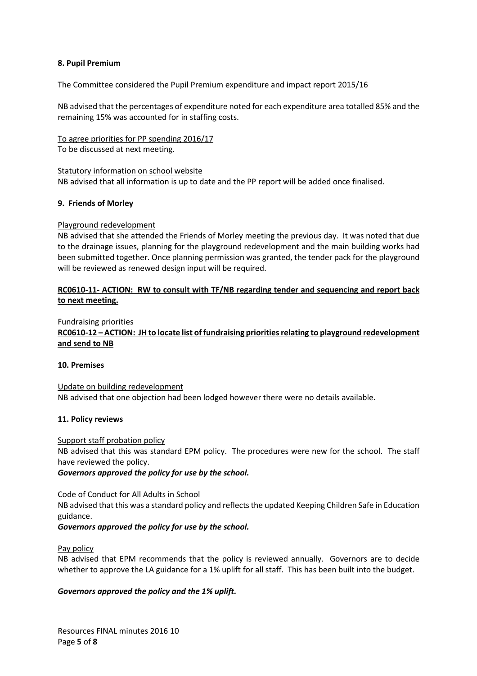#### **8. Pupil Premium**

The Committee considered the Pupil Premium expenditure and impact report 2015/16

NB advised that the percentages of expenditure noted for each expenditure area totalled 85% and the remaining 15% was accounted for in staffing costs.

To agree priorities for PP spending 2016/17 To be discussed at next meeting.

Statutory information on school website NB advised that all information is up to date and the PP report will be added once finalised.

#### **9. Friends of Morley**

#### Playground redevelopment

NB advised that she attended the Friends of Morley meeting the previous day. It was noted that due to the drainage issues, planning for the playground redevelopment and the main building works had been submitted together. Once planning permission was granted, the tender pack for the playground will be reviewed as renewed design input will be required.

## **RC0610-11- ACTION: RW to consult with TF/NB regarding tender and sequencing and report back to next meeting.**

#### Fundraising priorities

**RC0610-12 – ACTION: JH to locate list of fundraising priorities relating to playground redevelopment and send to NB** 

#### **10. Premises**

Update on building redevelopment NB advised that one objection had been lodged however there were no details available.

#### **11. Policy reviews**

Support staff probation policy

NB advised that this was standard EPM policy. The procedures were new for the school. The staff have reviewed the policy.

*Governors approved the policy for use by the school.* 

Code of Conduct for All Adults in School

NB advised that this was a standard policy and reflects the updated Keeping Children Safe in Education guidance.

*Governors approved the policy for use by the school.* 

#### Pay policy

NB advised that EPM recommends that the policy is reviewed annually. Governors are to decide whether to approve the LA guidance for a 1% uplift for all staff. This has been built into the budget.

## *Governors approved the policy and the 1% uplift.*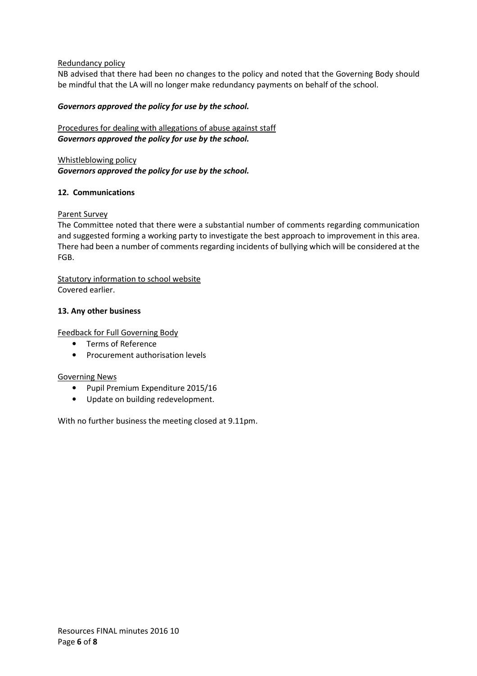## Redundancy policy

NB advised that there had been no changes to the policy and noted that the Governing Body should be mindful that the LA will no longer make redundancy payments on behalf of the school.

## *Governors approved the policy for use by the school.*

# Procedures for dealing with allegations of abuse against staff *Governors approved the policy for use by the school.*

Whistleblowing policy *Governors approved the policy for use by the school.* 

## **12. Communications**

Parent Survey

The Committee noted that there were a substantial number of comments regarding communication and suggested forming a working party to investigate the best approach to improvement in this area. There had been a number of comments regarding incidents of bullying which will be considered at the FGB.

Statutory information to school website Covered earlier.

## **13. Any other business**

Feedback for Full Governing Body

- Terms of Reference
- Procurement authorisation levels

## Governing News

- Pupil Premium Expenditure 2015/16
- Update on building redevelopment.

With no further business the meeting closed at 9.11pm.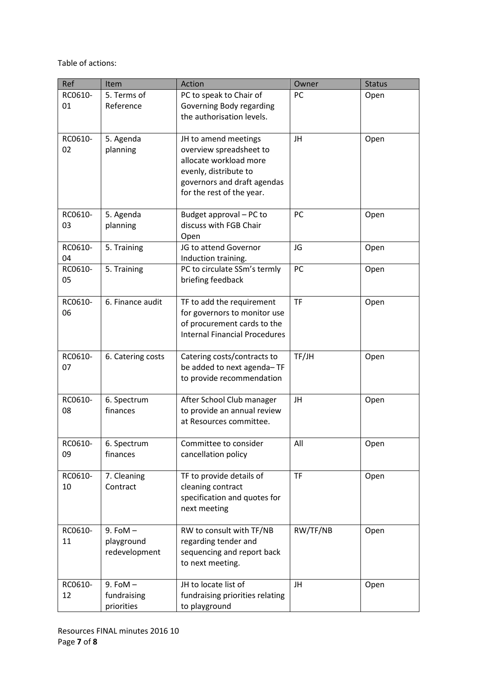Table of actions:

| Ref     | Item              | Action                                                | Owner     | <b>Status</b> |
|---------|-------------------|-------------------------------------------------------|-----------|---------------|
| RC0610- | 5. Terms of       | PC to speak to Chair of                               | PC        | Open          |
| 01      | Reference         | Governing Body regarding<br>the authorisation levels. |           |               |
|         |                   |                                                       |           |               |
| RC0610- | 5. Agenda         | JH to amend meetings                                  | JH        | Open          |
| 02      | planning          | overview spreadsheet to                               |           |               |
|         |                   | allocate workload more                                |           |               |
|         |                   | evenly, distribute to<br>governors and draft agendas  |           |               |
|         |                   | for the rest of the year.                             |           |               |
|         |                   |                                                       |           |               |
| RC0610- | 5. Agenda         | Budget approval - PC to                               | PC        | Open          |
| 03      | planning          | discuss with FGB Chair<br>Open                        |           |               |
| RC0610- | 5. Training       | JG to attend Governor                                 | JG        | Open          |
| 04      |                   | Induction training.                                   |           |               |
| RC0610- | 5. Training       | PC to circulate SSm's termly                          | PC        | Open          |
| 05      |                   | briefing feedback                                     |           |               |
| RC0610- | 6. Finance audit  | TF to add the requirement                             | <b>TF</b> | Open          |
| 06      |                   | for governors to monitor use                          |           |               |
|         |                   | of procurement cards to the                           |           |               |
|         |                   | <b>Internal Financial Procedures</b>                  |           |               |
| RC0610- | 6. Catering costs | Catering costs/contracts to                           | TF/JH     | Open          |
| 07      |                   | be added to next agenda-TF                            |           |               |
|         |                   | to provide recommendation                             |           |               |
| RC0610- | 6. Spectrum       | After School Club manager                             | JH        | Open          |
| 08      | finances          | to provide an annual review                           |           |               |
|         |                   | at Resources committee.                               |           |               |
| RC0610- | 6. Spectrum       | Committee to consider                                 | All       | Open          |
| 09      | finances          | cancellation policy                                   |           |               |
| RC0610- | 7. Cleaning       | TF to provide details of                              | <b>TF</b> | Open          |
| 10      | Contract          | cleaning contract                                     |           |               |
|         |                   | specification and quotes for                          |           |               |
|         |                   | next meeting                                          |           |               |
| RC0610- | $9.$ FoM $-$      | RW to consult with TF/NB                              | RW/TF/NB  | Open          |
| 11      | playground        | regarding tender and                                  |           |               |
|         | redevelopment     | sequencing and report back                            |           |               |
|         |                   | to next meeting.                                      |           |               |
| RC0610- | $9.$ FoM $-$      | JH to locate list of                                  | JH        | Open          |
| 12      | fundraising       | fundraising priorities relating                       |           |               |
|         | priorities        | to playground                                         |           |               |